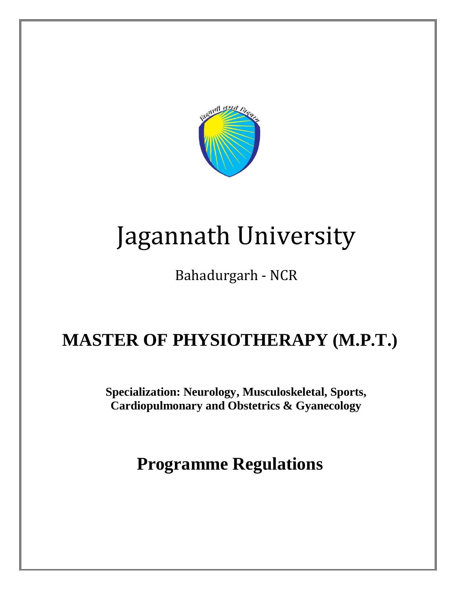

# Jagannath University

Bahadurgarh - NCR

# **MASTER OF PHYSIOTHERAPY (M.P.T.)**

**Specialization: Neurology, Musculoskeletal, Sports, Cardiopulmonary and Obstetrics & Gyanecology** 

# **Programme Regulations**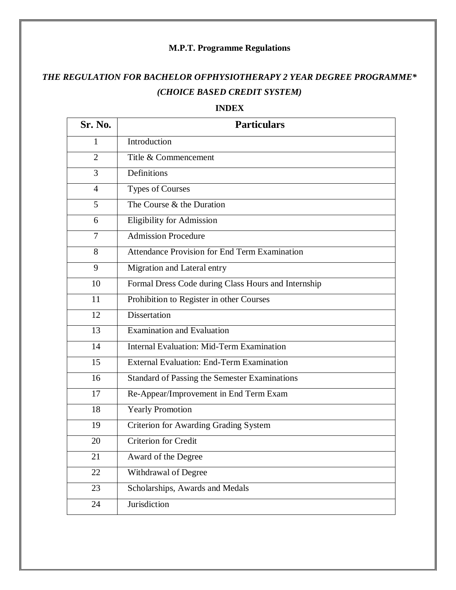# **M.P.T. Programme Regulations**

# *THE REGULATION FOR BACHELOR OFPHYSIOTHERAPY 2 YEAR DEGREE PROGRAMME\* (CHOICE BASED CREDIT SYSTEM)*

#### **INDEX**

| Sr. No.        | <b>Particulars</b>                                   |  |  |
|----------------|------------------------------------------------------|--|--|
| 1              | Introduction                                         |  |  |
| $\overline{2}$ | Title & Commencement                                 |  |  |
| 3              | Definitions                                          |  |  |
| $\overline{4}$ | <b>Types of Courses</b>                              |  |  |
| 5              | The Course & the Duration                            |  |  |
| 6              | <b>Eligibility for Admission</b>                     |  |  |
| $\overline{7}$ | <b>Admission Procedure</b>                           |  |  |
| 8              | <b>Attendance Provision for End Term Examination</b> |  |  |
| 9              | Migration and Lateral entry                          |  |  |
| 10             | Formal Dress Code during Class Hours and Internship  |  |  |
| 11             | Prohibition to Register in other Courses             |  |  |
| 12             | <b>Dissertation</b>                                  |  |  |
| 13             | <b>Examination and Evaluation</b>                    |  |  |
| 14             | <b>Internal Evaluation: Mid-Term Examination</b>     |  |  |
| 15             | <b>External Evaluation: End-Term Examination</b>     |  |  |
| 16             | <b>Standard of Passing the Semester Examinations</b> |  |  |
| 17             | Re-Appear/Improvement in End Term Exam               |  |  |
| 18             | <b>Yearly Promotion</b>                              |  |  |
| 19             | <b>Criterion for Awarding Grading System</b>         |  |  |
| 20             | <b>Criterion for Credit</b>                          |  |  |
| 21             | Award of the Degree                                  |  |  |
| 22             | Withdrawal of Degree                                 |  |  |
| 23             | Scholarships, Awards and Medals                      |  |  |
| 24             | Jurisdiction                                         |  |  |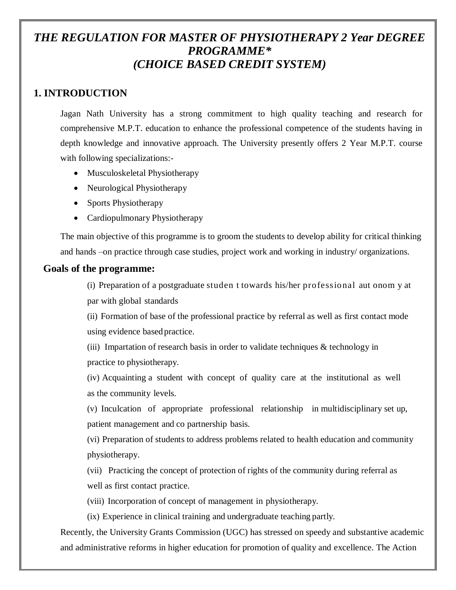# *THE REGULATION FOR MASTER OF PHYSIOTHERAPY 2 Year DEGREE PROGRAMME\* (CHOICE BASED CREDIT SYSTEM)*

# **1. INTRODUCTION**

Jagan Nath University has a strong commitment to high quality teaching and research for comprehensive M.P.T. education to enhance the professional competence of the students having in depth knowledge and innovative approach. The University presently offers 2 Year M.P.T. course with following specializations:-

- Musculoskeletal Physiotherapy
- Neurological Physiotherapy
- Sports Physiotherapy
- Cardiopulmonary Physiotherapy

The main objective of this programme is to groom the students to develop ability for critical thinking and hands –on practice through case studies, project work and working in industry/ organizations.

# **Goals of the programme:**

(i) Preparation of a postgraduate studen t towards his/her professional aut onom y at par with global standards

(ii) Formation of base of the professional practice by referral as well as first contact mode using evidence based practice.

(iii) Impartation of research basis in order to validate techniques  $&$  technology in practice to physiotherapy.

(iv) Acquainting a student with concept of quality care at the institutional as well as the community levels.

(v) Inculcation of appropriate professional relationship in multidisciplinary set up, patient management and co partnership basis.

(vi) Preparation of students to address problems related to health education and community physiotherapy.

(vii) Practicing the concept of protection of rights of the community during referral as well as first contact practice.

(viii) Incorporation of concept of management in physiotherapy.

(ix) Experience in clinical training and undergraduate teaching partly.

Recently, the University Grants Commission (UGC) has stressed on speedy and substantive academic and administrative reforms in higher education for promotion of quality and excellence. The Action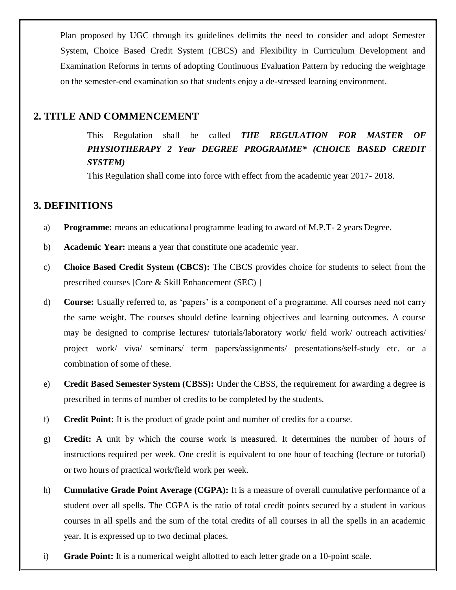Plan proposed by UGC through its guidelines delimits the need to consider and adopt Semester System, Choice Based Credit System (CBCS) and Flexibility in Curriculum Development and Examination Reforms in terms of adopting Continuous Evaluation Pattern by reducing the weightage on the semester-end examination so that students enjoy a de-stressed learning environment.

#### **2. TITLE AND COMMENCEMENT**

This Regulation shall be called *THE REGULATION FOR MASTER OF PHYSIOTHERAPY 2 Year DEGREE PROGRAMME\* (CHOICE BASED CREDIT SYSTEM)*

This Regulation shall come into force with effect from the academic year 2017- 2018.

#### **3. DEFINITIONS**

- a) **Programme:** means an educational programme leading to award of M.P.T- 2 years Degree.
- b) **Academic Year:** means a year that constitute one academic year.
- c) **Choice Based Credit System (CBCS):** The CBCS provides choice for students to select from the prescribed courses [Core & Skill Enhancement (SEC) ]
- d) **Course:** Usually referred to, as 'papers' is a component of a programme. All courses need not carry the same weight. The courses should define learning objectives and learning outcomes. A course may be designed to comprise lectures/ tutorials/laboratory work/ field work/ outreach activities/ project work/ viva/ seminars/ term papers/assignments/ presentations/self-study etc. or a combination of some of these.
- e) **Credit Based Semester System (CBSS):** Under the CBSS, the requirement for awarding a degree is prescribed in terms of number of credits to be completed by the students.
- f) **Credit Point:** It is the product of grade point and number of credits for a course.
- g) **Credit:** A unit by which the course work is measured. It determines the number of hours of instructions required per week. One credit is equivalent to one hour of teaching (lecture or tutorial) or two hours of practical work/field work per week.
- h) **Cumulative Grade Point Average (CGPA):** It is a measure of overall cumulative performance of a student over all spells. The CGPA is the ratio of total credit points secured by a student in various courses in all spells and the sum of the total credits of all courses in all the spells in an academic year. It is expressed up to two decimal places.
- i) **Grade Point:** It is a numerical weight allotted to each letter grade on a 10-point scale.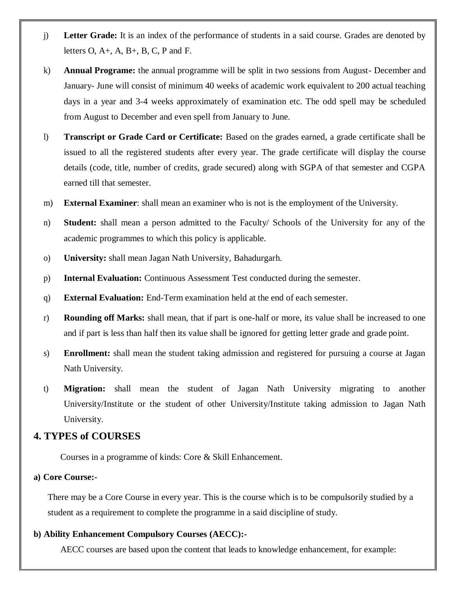- j) **Letter Grade:** It is an index of the performance of students in a said course. Grades are denoted by letters  $O, A+, A, B+, B, C, P$  and F.
- k) **Annual Programe:** the annual programme will be split in two sessions from August- December and January- June will consist of minimum 40 weeks of academic work equivalent to 200 actual teaching days in a year and 3-4 weeks approximately of examination etc. The odd spell may be scheduled from August to December and even spell from January to June.
- l) **Transcript or Grade Card or Certificate:** Based on the grades earned, a grade certificate shall be issued to all the registered students after every year. The grade certificate will display the course details (code, title, number of credits, grade secured) along with SGPA of that semester and CGPA earned till that semester.
- m) **External Examiner**: shall mean an examiner who is not is the employment of the University.
- n) **Student:** shall mean a person admitted to the Faculty/ Schools of the University for any of the academic programmes to which this policy is applicable.
- o) **University:** shall mean Jagan Nath University, Bahadurgarh.
- p) **Internal Evaluation:** Continuous Assessment Test conducted during the semester.
- q) **External Evaluation:** End-Term examination held at the end of each semester.
- r) **Rounding off Marks:** shall mean, that if part is one-half or more, its value shall be increased to one and if part is less than half then its value shall be ignored for getting letter grade and grade point.
- s) **Enrollment:** shall mean the student taking admission and registered for pursuing a course at Jagan Nath University.
- t) **Migration:** shall mean the student of Jagan Nath University migrating to another University/Institute or the student of other University/Institute taking admission to Jagan Nath University.

#### **4. TYPES of COURSES**

Courses in a programme of kinds: Core & Skill Enhancement.

#### **a) Core Course:-**

There may be a Core Course in every year. This is the course which is to be compulsorily studied by a student as a requirement to complete the programme in a said discipline of study.

#### **b) Ability Enhancement Compulsory Courses (AECC):-**

AECC courses are based upon the content that leads to knowledge enhancement, for example: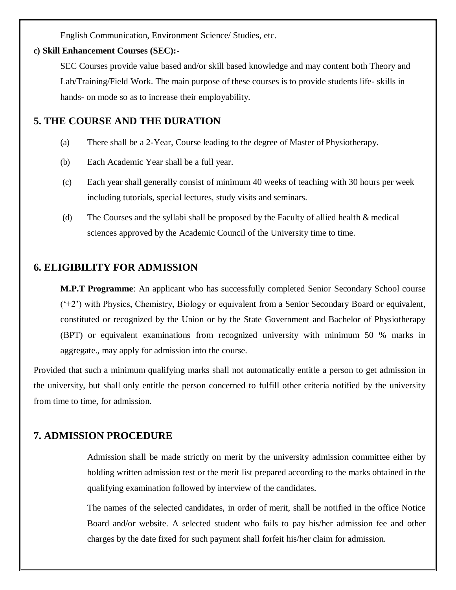English Communication, Environment Science/ Studies, etc.

#### **c) Skill Enhancement Courses (SEC):-**

SEC Courses provide value based and/or skill based knowledge and may content both Theory and Lab/Training/Field Work. The main purpose of these courses is to provide students life- skills in hands- on mode so as to increase their employability.

# **5. THE COURSE AND THE DURATION**

- (a) There shall be a 2-Year, Course leading to the degree of Master of Physiotherapy.
- (b) Each Academic Year shall be a full year.
- (c) Each year shall generally consist of minimum 40 weeks of teaching with 30 hours per week including tutorials, special lectures, study visits and seminars.
- (d) The Courses and the syllabi shall be proposed by the Faculty of allied health & medical sciences approved by the Academic Council of the University time to time.

# **6. ELIGIBILITY FOR ADMISSION**

**M.P.T Programme**: An applicant who has successfully completed Senior Secondary School course ('+2') with Physics, Chemistry, Biology or equivalent from a Senior Secondary Board or equivalent, constituted or recognized by the Union or by the State Government and Bachelor of Physiotherapy (BPT) or equivalent examinations from recognized university with minimum 50 % marks in aggregate., may apply for admission into the course.

Provided that such a minimum qualifying marks shall not automatically entitle a person to get admission in the university, but shall only entitle the person concerned to fulfill other criteria notified by the university from time to time, for admission.

# **7. ADMISSION PROCEDURE**

Admission shall be made strictly on merit by the university admission committee either by holding written admission test or the merit list prepared according to the marks obtained in the qualifying examination followed by interview of the candidates.

The names of the selected candidates, in order of merit, shall be notified in the office Notice Board and/or website. A selected student who fails to pay his/her admission fee and other charges by the date fixed for such payment shall forfeit his/her claim for admission.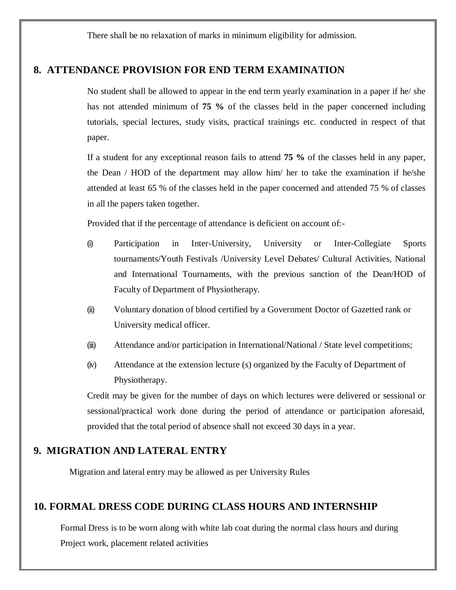There shall be no relaxation of marks in minimum eligibility for admission.

# **8. ATTENDANCE PROVISION FOR END TERM EXAMINATION**

No student shall be allowed to appear in the end term yearly examination in a paper if he/ she has not attended minimum of **75 %** of the classes held in the paper concerned including tutorials, special lectures, study visits, practical trainings etc. conducted in respect of that paper.

If a student for any exceptional reason fails to attend **75 %** of the classes held in any paper, the Dean / HOD of the department may allow him/ her to take the examination if he/she attended at least 65 % of the classes held in the paper concerned and attended 75 % of classes in all the papers taken together.

Provided that if the percentage of attendance is deficient on account of:-

- (i) Participation in Inter-University, University or Inter-Collegiate Sports tournaments/Youth Festivals /University Level Debates/ Cultural Activities, National and International Tournaments, with the previous sanction of the Dean/HOD of Faculty of Department of Physiotherapy.
- (ii) Voluntary donation of blood certified by a Government Doctor of Gazetted rank or University medical officer.
- (iii) Attendance and/or participation in International/National / State level competitions;
- (iv) Attendance at the extension lecture (s) organized by the Faculty of Department of Physiotherapy.

Credit may be given for the number of days on which lectures were delivered or sessional or sessional/practical work done during the period of attendance or participation aforesaid, provided that the total period of absence shall not exceed 30 days in a year.

# **9. MIGRATION AND LATERAL ENTRY**

Migration and lateral entry may be allowed as per University Rules

# **10. FORMAL DRESS CODE DURING CLASS HOURS AND INTERNSHIP**

Formal Dress is to be worn along with white lab coat during the normal class hours and during Project work, placement related activities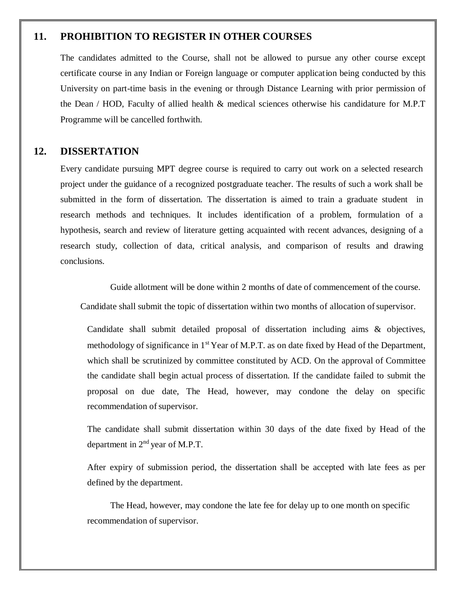# **11. PROHIBITION TO REGISTER IN OTHER COURSES**

The candidates admitted to the Course, shall not be allowed to pursue any other course except certificate course in any Indian or Foreign language or computer application being conducted by this University on part-time basis in the evening or through Distance Learning with prior permission of the Dean / HOD, Faculty of allied health & medical sciences otherwise his candidature for M.P.T Programme will be cancelled forthwith.

#### **12. DISSERTATION**

Every candidate pursuing MPT degree course is required to carry out work on a selected research project under the guidance of a recognized postgraduate teacher. The results of such a work shall be submitted in the form of dissertation. The dissertation is aimed to train a graduate student in research methods and techniques. It includes identification of a problem, formulation of a hypothesis, search and review of literature getting acquainted with recent advances, designing of a research study, collection of data, critical analysis, and comparison of results and drawing conclusions.

Guide allotment will be done within 2 months of date of commencement of the course.

Candidate shall submit the topic of dissertation within two months of allocation of supervisor.

Candidate shall submit detailed proposal of dissertation including aims & objectives, methodology of significance in 1<sup>st</sup> Year of M.P.T. as on date fixed by Head of the Department, which shall be scrutinized by committee constituted by ACD. On the approval of Committee the candidate shall begin actual process of dissertation. If the candidate failed to submit the proposal on due date, The Head, however, may condone the delay on specific recommendation of supervisor.

The candidate shall submit dissertation within 30 days of the date fixed by Head of the department in 2<sup>nd</sup> year of M.P.T.

After expiry of submission period, the dissertation shall be accepted with late fees as per defined by the department.

The Head, however, may condone the late fee for delay up to one month on specific recommendation of supervisor.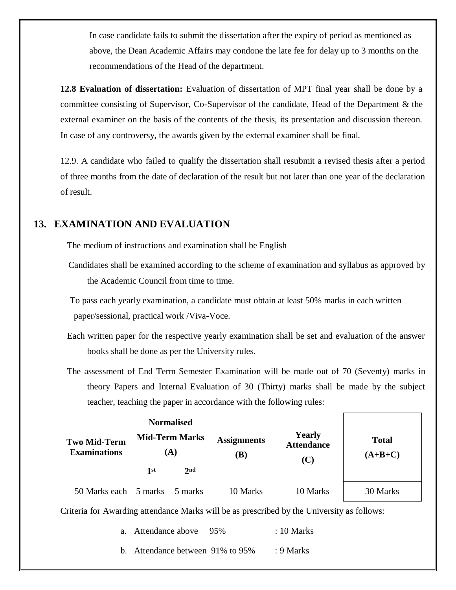In case candidate fails to submit the dissertation after the expiry of period as mentioned as above, the Dean Academic Affairs may condone the late fee for delay up to 3 months on the recommendations of the Head of the department.

**12.8 Evaluation of dissertation:** Evaluation of dissertation of MPT final year shall be done by a committee consisting of Supervisor, Co-Supervisor of the candidate, Head of the Department & the external examiner on the basis of the contents of the thesis, its presentation and discussion thereon. In case of any controversy, the awards given by the external examiner shall be final.

12.9. A candidate who failed to qualify the dissertation shall resubmit a revised thesis after a period of three months from the date of declaration of the result but not later than one year of the declaration of result.

# **13. EXAMINATION AND EVALUATION**

The medium of instructions and examination shall be English

Candidates shall be examined according to the scheme of examination and syllabus as approved by the Academic Council from time to time.

To pass each yearly examination, a candidate must obtain at least 50% marks in each written paper/sessional, practical work /Viva-Voce.

- Each written paper for the respective yearly examination shall be set and evaluation of the answer books shall be done as per the University rules.
- The assessment of End Term Semester Examination will be made out of 70 (Seventy) marks in theory Papers and Internal Evaluation of 30 (Thirty) marks shall be made by the subject teacher, teaching the paper in accordance with the following rules:

| <b>Two Mid-Term</b><br><b>Examinations</b> | <b>Normalised</b><br><b>Mid-Term Marks</b><br>(A) |                 | <b>Assignments</b><br>(B) | <b>Yearly</b><br><b>Attendance</b><br>(C) | <b>Total</b><br>$(A+B+C)$ |
|--------------------------------------------|---------------------------------------------------|-----------------|---------------------------|-------------------------------------------|---------------------------|
|                                            | 1st                                               | 2 <sub>nd</sub> |                           |                                           |                           |
| 50 Marks each 5 marks                      |                                                   | 5 marks         | 10 Marks                  | 10 Marks                                  | 30 Marks                  |

Criteria for Awarding attendance Marks will be as prescribed by the University as follows:

| a. Attendance above 95%          | $\therefore$ 10 Marks |
|----------------------------------|-----------------------|
| b. Attendance between 91% to 95% | : $9$ Marks           |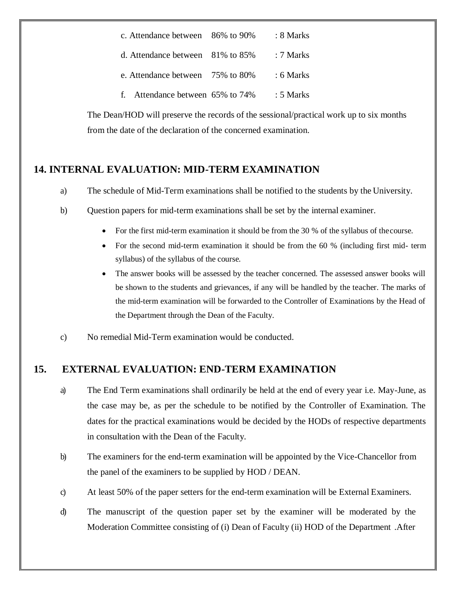| c. Attendance between 86% to 90%    | : 8 Marks   |
|-------------------------------------|-------------|
| d. Attendance between $81\%$ to 85% | : 7 Marks   |
| e. Attendance between 75% to 80%    | $: 6$ Marks |
| f. Attendance between 65% to 74%    | $: 5$ Marks |

The Dean/HOD will preserve the records of the sessional/practical work up to six months from the date of the declaration of the concerned examination.

# **14. INTERNAL EVALUATION: MID-TERM EXAMINATION**

- a) The schedule of Mid-Term examinations shall be notified to the students by the University.
- b) Question papers for mid-term examinations shall be set by the internal examiner.
	- For the first mid-term examination it should be from the 30 % of the syllabus of thecourse.
	- For the second mid-term examination it should be from the 60 % (including first mid- term syllabus) of the syllabus of the course.
	- The answer books will be assessed by the teacher concerned. The assessed answer books will be shown to the students and grievances, if any will be handled by the teacher. The marks of the mid-term examination will be forwarded to the Controller of Examinations by the Head of the Department through the Dean of the Faculty.
- c) No remedial Mid-Term examination would be conducted.

# **15. EXTERNAL EVALUATION: END-TERM EXAMINATION**

- a) The End Term examinations shall ordinarily be held at the end of every year i.e. May-June, as the case may be, as per the schedule to be notified by the Controller of Examination. The dates for the practical examinations would be decided by the HODs of respective departments in consultation with the Dean of the Faculty.
- b) The examiners for the end-term examination will be appointed by the Vice-Chancellor from the panel of the examiners to be supplied by HOD / DEAN.
- c) At least 50% of the paper setters for the end-term examination will be External Examiners.
- d) The manuscript of the question paper set by the examiner will be moderated by the Moderation Committee consisting of (i) Dean of Faculty (ii) HOD of the Department .After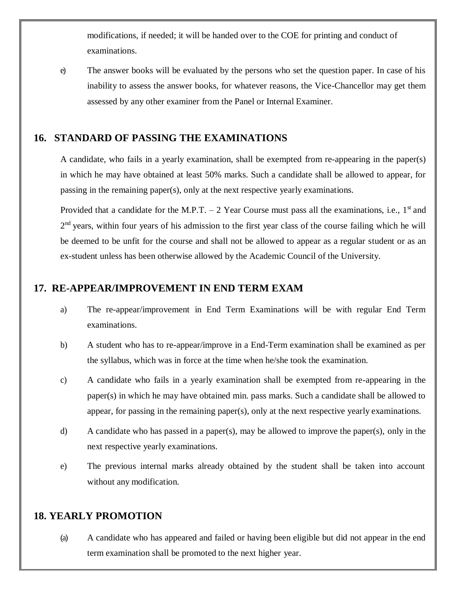modifications, if needed; it will be handed over to the COE for printing and conduct of examinations.

e) The answer books will be evaluated by the persons who set the question paper. In case of his inability to assess the answer books, for whatever reasons, the Vice-Chancellor may get them assessed by any other examiner from the Panel or Internal Examiner.

# **16. STANDARD OF PASSING THE EXAMINATIONS**

A candidate, who fails in a yearly examination, shall be exempted from re-appearing in the paper(s) in which he may have obtained at least 50% marks. Such a candidate shall be allowed to appear, for passing in the remaining paper(s), only at the next respective yearly examinations.

Provided that a candidate for the M.P.T.  $-2$  Year Course must pass all the examinations, i.e., 1<sup>st</sup> and 2<sup>nd</sup> years, within four years of his admission to the first year class of the course failing which he will be deemed to be unfit for the course and shall not be allowed to appear as a regular student or as an ex-student unless has been otherwise allowed by the Academic Council of the University.

#### **17. RE-APPEAR/IMPROVEMENT IN END TERM EXAM**

- a) The re-appear/improvement in End Term Examinations will be with regular End Term examinations.
- b) A student who has to re-appear/improve in a End-Term examination shall be examined as per the syllabus, which was in force at the time when he/she took the examination.
- c) A candidate who fails in a yearly examination shall be exempted from re-appearing in the paper(s) in which he may have obtained min. pass marks. Such a candidate shall be allowed to appear, for passing in the remaining paper(s), only at the next respective yearly examinations.
- d) A candidate who has passed in a paper(s), may be allowed to improve the paper(s), only in the next respective yearly examinations.
- e) The previous internal marks already obtained by the student shall be taken into account without any modification.

#### **18. YEARLY PROMOTION**

(a) A candidate who has appeared and failed or having been eligible but did not appear in the end term examination shall be promoted to the next higher year.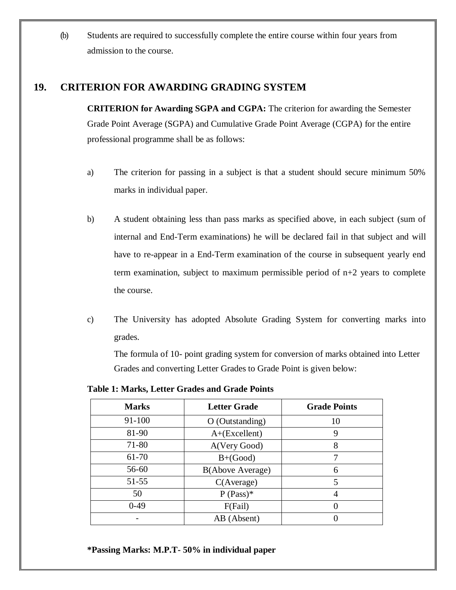(b) Students are required to successfully complete the entire course within four years from admission to the course.

# **19. CRITERION FOR AWARDING GRADING SYSTEM**

**CRITERION for Awarding SGPA and CGPA:** The criterion for awarding the Semester Grade Point Average (SGPA) and Cumulative Grade Point Average (CGPA) for the entire professional programme shall be as follows:

- a) The criterion for passing in a subject is that a student should secure minimum 50% marks in individual paper.
- b) A student obtaining less than pass marks as specified above, in each subject (sum of internal and End-Term examinations) he will be declared fail in that subject and will have to re-appear in a End-Term examination of the course in subsequent yearly end term examination, subject to maximum permissible period of n+2 years to complete the course.
- c) The University has adopted Absolute Grading System for converting marks into grades.

The formula of 10- point grading system for conversion of marks obtained into Letter Grades and converting Letter Grades to Grade Point is given below:

**Marks Letter Grade Grade Points** 91-100 O (Outstanding) 10 81-90 A+(Excellent) 9 71-80 A(Very Good) 8 61-70 B+(Good) 7 56-60 B(Above Average) 6 51-55 C(Average) 5 50  $P (Pass)^*$  4 0-49 | F(Fail) | 0  $AB (Absent)$  0

**Table 1: Marks, Letter Grades and Grade Points**

#### **\*Passing Marks: M.P.T- 50% in individual paper**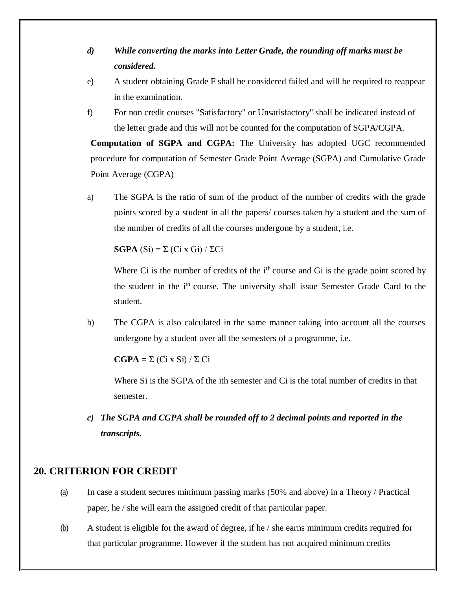- *d) While converting the marks into Letter Grade, the rounding off marks must be considered.*
- e) A student obtaining Grade F shall be considered failed and will be required to reappear in the examination.
- f) For non credit courses "Satisfactory" or Unsatisfactory" shall be indicated instead of the letter grade and this will not be counted for the computation of SGPA/CGPA.

**Computation of SGPA and CGPA:** The University has adopted UGC recommended procedure for computation of Semester Grade Point Average (SGPA) and Cumulative Grade Point Average (CGPA)

a) The SGPA is the ratio of sum of the product of the number of credits with the grade points scored by a student in all the papers/ courses taken by a student and the sum of the number of credits of all the courses undergone by a student, i.e.

**SGPA**  $(Si) = \sum (Ci \times Gi) / \sum Ci$ 

Where Ci is the number of credits of the  $i<sup>th</sup>$  course and Gi is the grade point scored by the student in the i<sup>th</sup> course. The university shall issue Semester Grade Card to the student.

b) The CGPA is also calculated in the same manner taking into account all the courses undergone by a student over all the semesters of a programme, i.e.

 $\mathbf{CGPA} = \Sigma (\text{Ci } x \text{ Si}) / \Sigma \text{ Ci}$ 

Where Si is the SGPA of the ith semester and Ci is the total number of credits in that semester.

*c) The SGPA and CGPA shall be rounded off to 2 decimal points and reported in the transcripts.*

# **20. CRITERION FOR CREDIT**

- (a) In case a student secures minimum passing marks (50% and above) in a Theory / Practical paper, he / she will earn the assigned credit of that particular paper.
- (b) A student is eligible for the award of degree, if he / she earns minimum credits required for that particular programme. However if the student has not acquired minimum credits